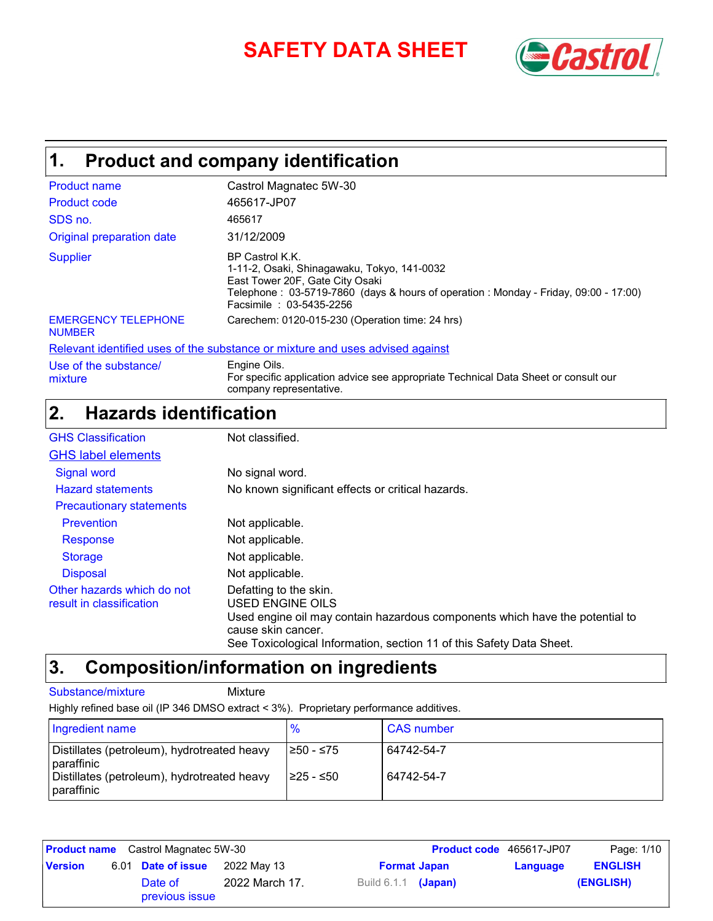# **SAFETY DATA SHEET** *Castrol*



# **Product and company identification 1.**

| <b>Product name</b><br><b>Product code</b>  | Castrol Magnatec 5W-30<br>465617-JP07                                                                                                                                                                               |
|---------------------------------------------|---------------------------------------------------------------------------------------------------------------------------------------------------------------------------------------------------------------------|
| SDS no.                                     | 465617                                                                                                                                                                                                              |
| Original preparation date                   | 31/12/2009                                                                                                                                                                                                          |
| <b>Supplier</b>                             | BP Castrol K.K.<br>1-11-2, Osaki, Shinagawaku, Tokyo, 141-0032<br>East Tower 20F, Gate City Osaki<br>Telephone: 03-5719-7860 (days & hours of operation: Monday - Friday, 09:00 - 17:00)<br>Facsimile: 03-5435-2256 |
| <b>EMERGENCY TELEPHONE</b><br><b>NUMBER</b> | Carechem: 0120-015-230 (Operation time: 24 hrs)                                                                                                                                                                     |
|                                             | Relevant identified uses of the substance or mixture and uses advised against                                                                                                                                       |
| Use of the substance/                       | Engine Oils.                                                                                                                                                                                                        |

Use of the substance/ mixture

For specific application advice see appropriate Technical Data Sheet or consult our company representative.

# **Hazards identification 2.**

| <b>GHS Classification</b>                              | Not classified.                                                                                                                                                                                                          |
|--------------------------------------------------------|--------------------------------------------------------------------------------------------------------------------------------------------------------------------------------------------------------------------------|
| <b>GHS label elements</b>                              |                                                                                                                                                                                                                          |
| <b>Signal word</b>                                     | No signal word.                                                                                                                                                                                                          |
| <b>Hazard statements</b>                               | No known significant effects or critical hazards.                                                                                                                                                                        |
| <b>Precautionary statements</b>                        |                                                                                                                                                                                                                          |
| Prevention                                             | Not applicable.                                                                                                                                                                                                          |
| Response                                               | Not applicable.                                                                                                                                                                                                          |
| <b>Storage</b>                                         | Not applicable.                                                                                                                                                                                                          |
| <b>Disposal</b>                                        | Not applicable.                                                                                                                                                                                                          |
| Other hazards which do not<br>result in classification | Defatting to the skin.<br>USED ENGINE OILS<br>Used engine oil may contain hazardous components which have the potential to<br>cause skin cancer.<br>See Toxicological Information, section 11 of this Safety Data Sheet. |

# **Composition/information on ingredients 3.**

#### Substance/mixture Mixture

Highly refined base oil (IP 346 DMSO extract < 3%). Proprietary performance additives.

| Ingredient name                                           |            | <b>CAS</b> number |
|-----------------------------------------------------------|------------|-------------------|
| Distillates (petroleum), hydrotreated heavy<br>paraffinic | I≥50 - ≤75 | 64742-54-7        |
| Distillates (petroleum), hydrotreated heavy<br>paraffinic | I≥25 - ≤50 | 64742-54-7        |

| <b>Product name</b> Castrol Magnatec 5W-30 |  |                           |                | <b>Product code</b> 465617-JP07 | Page: 1/10 |          |                |
|--------------------------------------------|--|---------------------------|----------------|---------------------------------|------------|----------|----------------|
| <b>Version</b>                             |  | 6.01 Date of issue        | 2022 May 13    | <b>Format Japan</b>             |            | Language | <b>ENGLISH</b> |
|                                            |  | Date of<br>previous issue | 2022 March 17. | Build 6.1.1 (Japan)             |            |          | (ENGLISH)      |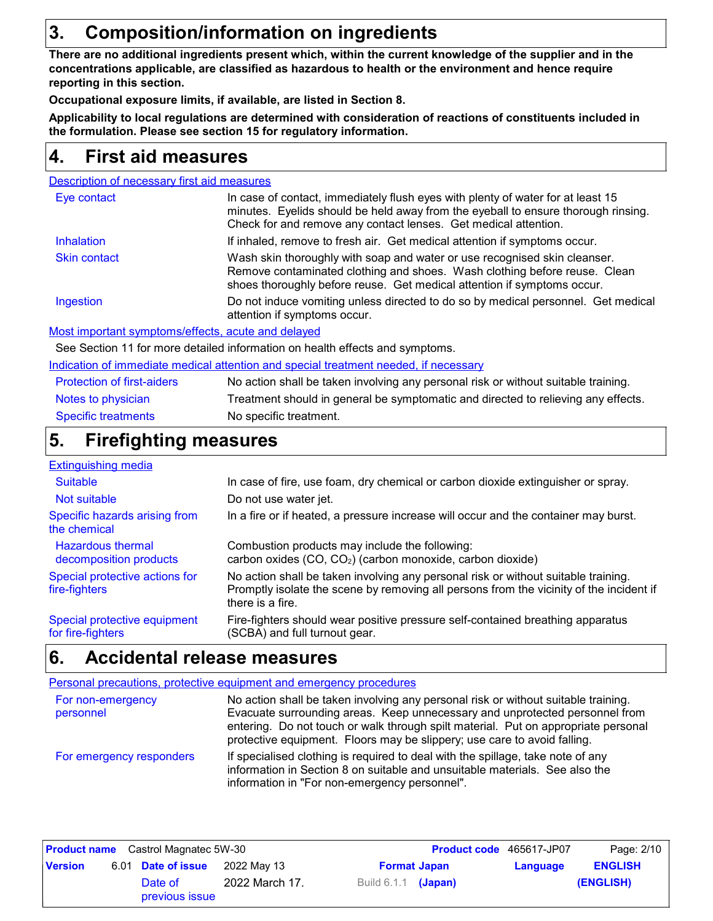# **3. Composition/information on ingredients**

**There are no additional ingredients present which, within the current knowledge of the supplier and in the concentrations applicable, are classified as hazardous to health or the environment and hence require reporting in this section.**

**Occupational exposure limits, if available, are listed in Section 8.**

**Applicability to local regulations are determined with consideration of reactions of constituents included in the formulation. Please see section 15 for regulatory information.**

## **First aid measures 4.**

| Description of necessary first aid measures |  |
|---------------------------------------------|--|
|                                             |  |

| Eye contact         | In case of contact, immediately flush eyes with plenty of water for at least 15<br>minutes. Eyelids should be held away from the eyeball to ensure thorough rinsing.<br>Check for and remove any contact lenses. Get medical attention. |
|---------------------|-----------------------------------------------------------------------------------------------------------------------------------------------------------------------------------------------------------------------------------------|
| <b>Inhalation</b>   | If inhaled, remove to fresh air. Get medical attention if symptoms occur.                                                                                                                                                               |
| <b>Skin contact</b> | Wash skin thoroughly with soap and water or use recognised skin cleanser.<br>Remove contaminated clothing and shoes. Wash clothing before reuse. Clean<br>shoes thoroughly before reuse. Get medical attention if symptoms occur.       |
| Ingestion           | Do not induce vomiting unless directed to do so by medical personnel. Get medical<br>attention if symptoms occur.                                                                                                                       |
|                     |                                                                                                                                                                                                                                         |

Most important symptoms/effects, acute and delayed

See Section 11 for more detailed information on health effects and symptoms.

Indication of immediate medical attention and special treatment needed, if necessary

| <b>Protection of first-aiders</b> | No action shall be taken involving any personal risk or without suitable training. |
|-----------------------------------|------------------------------------------------------------------------------------|
| Notes to physician                | Treatment should in general be symptomatic and directed to relieving any effects.  |
| Specific treatments               | No specific treatment.                                                             |

# **Firefighting measures 5.**

| <b>Extinguishing media</b>                         |                                                                                                                                                                                                   |
|----------------------------------------------------|---------------------------------------------------------------------------------------------------------------------------------------------------------------------------------------------------|
| <b>Suitable</b>                                    | In case of fire, use foam, dry chemical or carbon dioxide extinguisher or spray.                                                                                                                  |
| Not suitable                                       | Do not use water jet.                                                                                                                                                                             |
| Specific hazards arising from<br>the chemical      | In a fire or if heated, a pressure increase will occur and the container may burst.                                                                                                               |
| <b>Hazardous thermal</b><br>decomposition products | Combustion products may include the following:<br>carbon oxides (CO, CO <sub>2</sub> ) (carbon monoxide, carbon dioxide)                                                                          |
| Special protective actions for<br>fire-fighters    | No action shall be taken involving any personal risk or without suitable training.<br>Promptly isolate the scene by removing all persons from the vicinity of the incident if<br>there is a fire. |
| Special protective equipment<br>for fire-fighters  | Fire-fighters should wear positive pressure self-contained breathing apparatus<br>(SCBA) and full turnout gear.                                                                                   |

# **Accidental release measures 6.**

|                                | Personal precautions, protective equipment and emergency procedures                                                                                                                                                                                                                                                                 |
|--------------------------------|-------------------------------------------------------------------------------------------------------------------------------------------------------------------------------------------------------------------------------------------------------------------------------------------------------------------------------------|
| For non-emergency<br>personnel | No action shall be taken involving any personal risk or without suitable training.<br>Evacuate surrounding areas. Keep unnecessary and unprotected personnel from<br>entering. Do not touch or walk through spilt material. Put on appropriate personal<br>protective equipment. Floors may be slippery; use care to avoid falling. |
| For emergency responders       | If specialised clothing is required to deal with the spillage, take note of any<br>information in Section 8 on suitable and unsuitable materials. See also the<br>information in "For non-emergency personnel".                                                                                                                     |

| <b>Product name</b> Castrol Magnatec 5W-30 |  |                                   |                     | <b>Product code</b> 465617-JP07 | Page: 2/10 |                |           |
|--------------------------------------------|--|-----------------------------------|---------------------|---------------------------------|------------|----------------|-----------|
| <b>Version</b>                             |  | 6.01 Date of issue<br>2022 May 13 | <b>Format Japan</b> |                                 | Language   | <b>ENGLISH</b> |           |
|                                            |  | Date of<br>previous issue         | 2022 March 17.      | Build 6.1.1 <b>(Japan)</b>      |            |                | (ENGLISH) |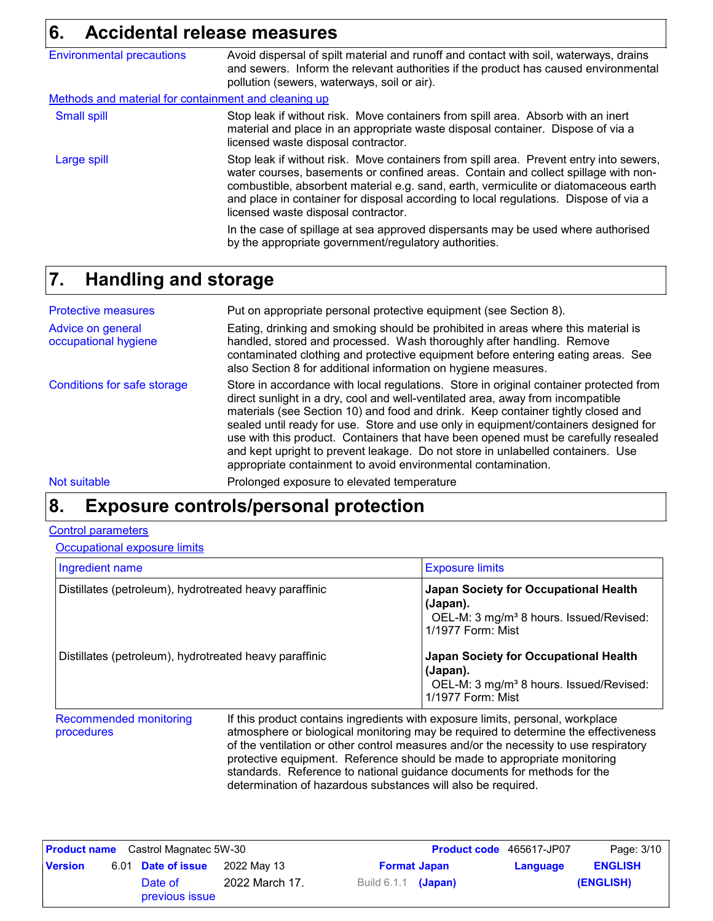# **6. Accidental release measures**

| <b>Environmental precautions</b>                     | Avoid dispersal of spilt material and runoff and contact with soil, waterways, drains<br>and sewers. Inform the relevant authorities if the product has caused environmental<br>pollution (sewers, waterways, soil or air).                                                                                                                                                                                                                                                                                                                     |  |  |
|------------------------------------------------------|-------------------------------------------------------------------------------------------------------------------------------------------------------------------------------------------------------------------------------------------------------------------------------------------------------------------------------------------------------------------------------------------------------------------------------------------------------------------------------------------------------------------------------------------------|--|--|
| Methods and material for containment and cleaning up |                                                                                                                                                                                                                                                                                                                                                                                                                                                                                                                                                 |  |  |
| <b>Small spill</b>                                   | Stop leak if without risk. Move containers from spill area. Absorb with an inert<br>material and place in an appropriate waste disposal container. Dispose of via a<br>licensed waste disposal contractor.                                                                                                                                                                                                                                                                                                                                      |  |  |
| Large spill                                          | Stop leak if without risk. Move containers from spill area. Prevent entry into sewers,<br>water courses, basements or confined areas. Contain and collect spillage with non-<br>combustible, absorbent material e.g. sand, earth, vermiculite or diatomaceous earth<br>and place in container for disposal according to local regulations. Dispose of via a<br>licensed waste disposal contractor.<br>In the case of spillage at sea approved dispersants may be used where authorised<br>by the appropriate government/regulatory authorities. |  |  |

### **Handling and storage 7.**

| <b>Protective measures</b>                | Put on appropriate personal protective equipment (see Section 8).                                                                                                                                                                                                                                                                                                                                                                                                                                                                                                                              |
|-------------------------------------------|------------------------------------------------------------------------------------------------------------------------------------------------------------------------------------------------------------------------------------------------------------------------------------------------------------------------------------------------------------------------------------------------------------------------------------------------------------------------------------------------------------------------------------------------------------------------------------------------|
| Advice on general<br>occupational hygiene | Eating, drinking and smoking should be prohibited in areas where this material is<br>handled, stored and processed. Wash thoroughly after handling. Remove<br>contaminated clothing and protective equipment before entering eating areas. See<br>also Section 8 for additional information on hygiene measures.                                                                                                                                                                                                                                                                               |
| Conditions for safe storage               | Store in accordance with local regulations. Store in original container protected from<br>direct sunlight in a dry, cool and well-ventilated area, away from incompatible<br>materials (see Section 10) and food and drink. Keep container tightly closed and<br>sealed until ready for use. Store and use only in equipment/containers designed for<br>use with this product. Containers that have been opened must be carefully resealed<br>and kept upright to prevent leakage. Do not store in unlabelled containers. Use<br>appropriate containment to avoid environmental contamination. |
| Not suitable                              | Prolonged exposure to elevated temperature                                                                                                                                                                                                                                                                                                                                                                                                                                                                                                                                                     |

# **Exposure controls/personal protection 8.**

#### Control parameters

**Occupational exposure limits** 

| Ingredient name                                        |                                                                                                                                                                      | <b>Exposure limits</b>                                                                                                        |  |  |
|--------------------------------------------------------|----------------------------------------------------------------------------------------------------------------------------------------------------------------------|-------------------------------------------------------------------------------------------------------------------------------|--|--|
| Distillates (petroleum), hydrotreated heavy paraffinic |                                                                                                                                                                      | Japan Society for Occupational Health<br>(Japan).<br>OEL-M: 3 mg/m <sup>3</sup> 8 hours. Issued/Revised:<br>1/1977 Form: Mist |  |  |
| Distillates (petroleum), hydrotreated heavy paraffinic |                                                                                                                                                                      | Japan Society for Occupational Health<br>(Japan).<br>OEL-M: 3 mg/m <sup>3</sup> 8 hours. Issued/Revised:<br>1/1977 Form: Mist |  |  |
| <b>Recommended monitoring</b><br>procedures            | If this product contains ingredients with exposure limits, personal, workplace<br>atmosphere or biological monitoring may be required to determine the effectiveness |                                                                                                                               |  |  |

atmosphere or biological monitoring may be required to determine the effectiveness of the ventilation or other control measures and/or the necessity to use respiratory protective equipment. Reference should be made to appropriate monitoring standards. Reference to national guidance documents for methods for the determination of hazardous substances will also be required.

|                | <b>Product name</b> Castrol Magnatec 5W-30 |                |                       |  | <b>Product code</b> 465617-JP07 | Page: 3/10     |
|----------------|--------------------------------------------|----------------|-----------------------|--|---------------------------------|----------------|
| <b>Version</b> | 6.01 Date of issue                         | 2022 May 13    | <b>Format Japan</b>   |  | Language                        | <b>ENGLISH</b> |
|                | Date of<br>previous issue                  | 2022 March 17. | Build $6.1.1$ (Japan) |  |                                 | (ENGLISH)      |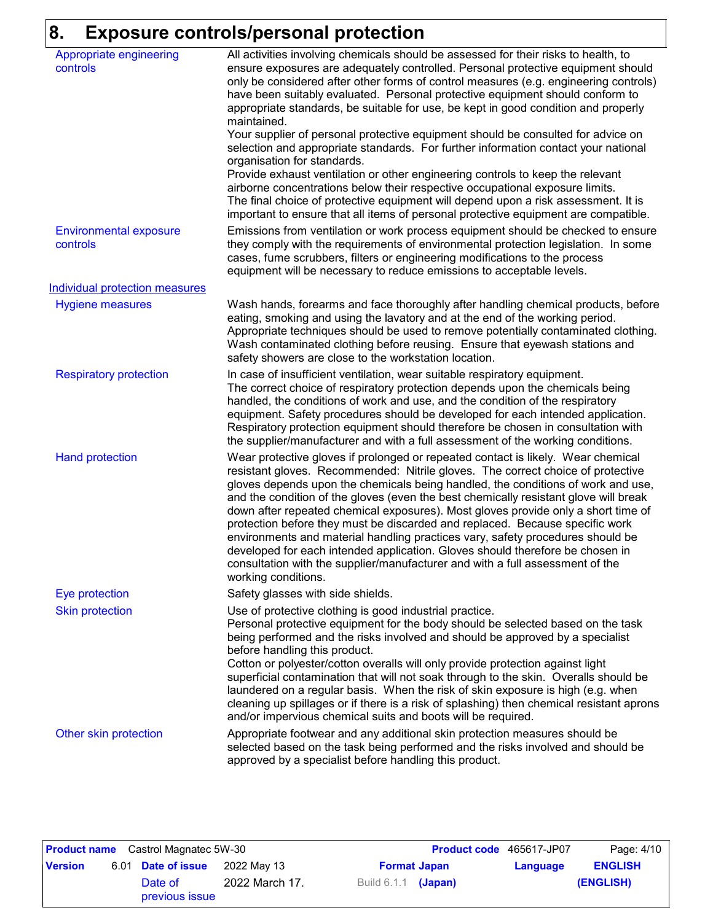# **8. Exposure controls/personal protection**

| Appropriate engineering<br>controls       | All activities involving chemicals should be assessed for their risks to health, to<br>ensure exposures are adequately controlled. Personal protective equipment should<br>only be considered after other forms of control measures (e.g. engineering controls)<br>have been suitably evaluated. Personal protective equipment should conform to<br>appropriate standards, be suitable for use, be kept in good condition and properly<br>maintained.<br>Your supplier of personal protective equipment should be consulted for advice on<br>selection and appropriate standards. For further information contact your national<br>organisation for standards.<br>Provide exhaust ventilation or other engineering controls to keep the relevant<br>airborne concentrations below their respective occupational exposure limits.<br>The final choice of protective equipment will depend upon a risk assessment. It is |
|-------------------------------------------|------------------------------------------------------------------------------------------------------------------------------------------------------------------------------------------------------------------------------------------------------------------------------------------------------------------------------------------------------------------------------------------------------------------------------------------------------------------------------------------------------------------------------------------------------------------------------------------------------------------------------------------------------------------------------------------------------------------------------------------------------------------------------------------------------------------------------------------------------------------------------------------------------------------------|
| <b>Environmental exposure</b><br>controls | important to ensure that all items of personal protective equipment are compatible.<br>Emissions from ventilation or work process equipment should be checked to ensure<br>they comply with the requirements of environmental protection legislation. In some<br>cases, fume scrubbers, filters or engineering modifications to the process<br>equipment will be necessary to reduce emissions to acceptable levels.                                                                                                                                                                                                                                                                                                                                                                                                                                                                                                   |
| <b>Individual protection measures</b>     |                                                                                                                                                                                                                                                                                                                                                                                                                                                                                                                                                                                                                                                                                                                                                                                                                                                                                                                        |
| <b>Hygiene measures</b>                   | Wash hands, forearms and face thoroughly after handling chemical products, before<br>eating, smoking and using the lavatory and at the end of the working period.<br>Appropriate techniques should be used to remove potentially contaminated clothing.<br>Wash contaminated clothing before reusing. Ensure that eyewash stations and<br>safety showers are close to the workstation location.                                                                                                                                                                                                                                                                                                                                                                                                                                                                                                                        |
| <b>Respiratory protection</b>             | In case of insufficient ventilation, wear suitable respiratory equipment.<br>The correct choice of respiratory protection depends upon the chemicals being<br>handled, the conditions of work and use, and the condition of the respiratory<br>equipment. Safety procedures should be developed for each intended application.<br>Respiratory protection equipment should therefore be chosen in consultation with<br>the supplier/manufacturer and with a full assessment of the working conditions.                                                                                                                                                                                                                                                                                                                                                                                                                  |
| <b>Hand protection</b>                    | Wear protective gloves if prolonged or repeated contact is likely. Wear chemical<br>resistant gloves. Recommended: Nitrile gloves. The correct choice of protective<br>gloves depends upon the chemicals being handled, the conditions of work and use,<br>and the condition of the gloves (even the best chemically resistant glove will break<br>down after repeated chemical exposures). Most gloves provide only a short time of<br>protection before they must be discarded and replaced. Because specific work<br>environments and material handling practices vary, safety procedures should be<br>developed for each intended application. Gloves should therefore be chosen in<br>consultation with the supplier/manufacturer and with a full assessment of the<br>working conditions.                                                                                                                        |
| Eye protection                            | Safety glasses with side shields.                                                                                                                                                                                                                                                                                                                                                                                                                                                                                                                                                                                                                                                                                                                                                                                                                                                                                      |
| <b>Skin protection</b>                    | Use of protective clothing is good industrial practice.<br>Personal protective equipment for the body should be selected based on the task<br>being performed and the risks involved and should be approved by a specialist<br>before handling this product.<br>Cotton or polyester/cotton overalls will only provide protection against light<br>superficial contamination that will not soak through to the skin. Overalls should be<br>laundered on a regular basis. When the risk of skin exposure is high (e.g. when<br>cleaning up spillages or if there is a risk of splashing) then chemical resistant aprons<br>and/or impervious chemical suits and boots will be required.                                                                                                                                                                                                                                  |
| Other skin protection                     | Appropriate footwear and any additional skin protection measures should be<br>selected based on the task being performed and the risks involved and should be<br>approved by a specialist before handling this product.                                                                                                                                                                                                                                                                                                                                                                                                                                                                                                                                                                                                                                                                                                |

| <b>Product name</b> Castrol Magnatec 5W-30 |                    |                           |                |                       | <b>Product code</b> 465617-JP07 | Page: 4/10 |                |
|--------------------------------------------|--------------------|---------------------------|----------------|-----------------------|---------------------------------|------------|----------------|
| <b>Version</b>                             | 6.01 Date of issue |                           | 2022 Mav 13    | <b>Format Japan</b>   |                                 | Language   | <b>ENGLISH</b> |
|                                            |                    | Date of<br>previous issue | 2022 March 17. | Build $6.1.1$ (Japan) |                                 |            | (ENGLISH)      |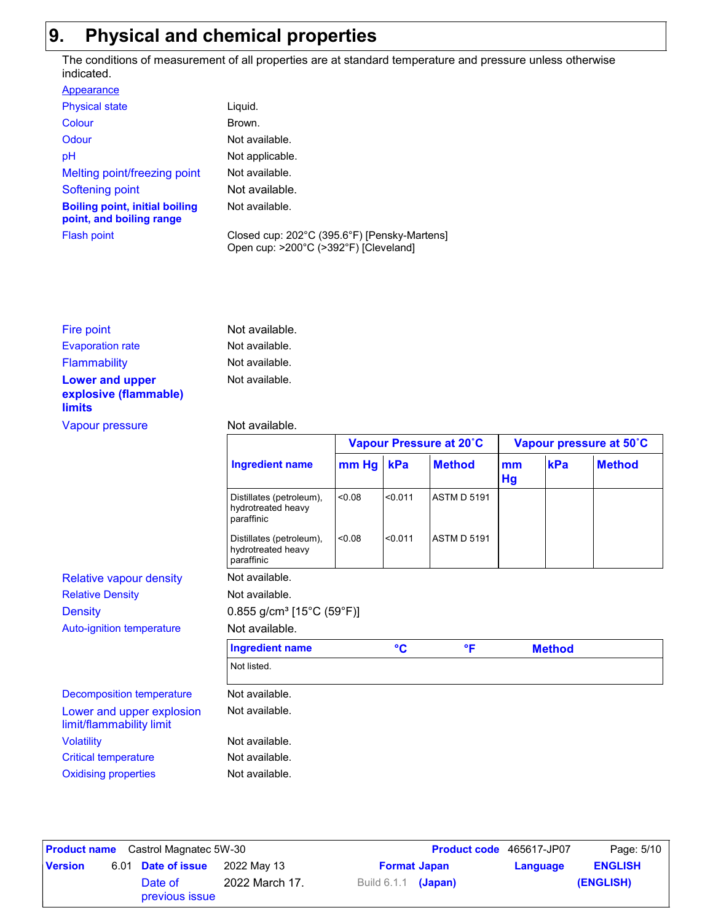# **9. Physical and chemical properties**

The conditions of measurement of all properties are at standard temperature and pressure unless otherwise indicated.

| Liguid.                                                                               |
|---------------------------------------------------------------------------------------|
| Brown.                                                                                |
| Not available.                                                                        |
| Not applicable.                                                                       |
| Not available.                                                                        |
| Not available.                                                                        |
| Not available.                                                                        |
| Closed cup: 202°C (395.6°F) [Pensky-Martens]<br>Open cup: >200°C (>392°F) [Cleveland] |
|                                                                                       |

| Fire point                                      | Not available. |
|-------------------------------------------------|----------------|
| <b>Evaporation rate</b>                         | Not available. |
| Flammability                                    | Not available. |
| <b>Lower and upper</b><br>explosive (flammable) | Not available. |
| <b>limits</b>                                   |                |

#### Vapour pressure Not available.

|                                                              |        |                                         |                    |                         | Vapour pressure at 50°C |               |  |
|--------------------------------------------------------------|--------|-----------------------------------------|--------------------|-------------------------|-------------------------|---------------|--|
| <b>Ingredient name</b>                                       |        |                                         | <b>Method</b>      | mm<br><b>Hg</b>         | kPa                     | <b>Method</b> |  |
| Distillates (petroleum),<br>hydrotreated heavy<br>paraffinic | 80.08  | < 0.011                                 | <b>ASTM D 5191</b> |                         |                         |               |  |
| Distillates (petroleum),<br>hydrotreated heavy<br>paraffinic | < 0.08 | < 0.011                                 | <b>ASTM D 5191</b> |                         |                         |               |  |
| Not available.                                               |        |                                         |                    |                         |                         |               |  |
| Not available.                                               |        |                                         |                    |                         |                         |               |  |
|                                                              |        |                                         |                    |                         |                         |               |  |
| Not available.                                               |        |                                         |                    |                         |                         |               |  |
| <b>Ingredient name</b>                                       |        | $\rm ^{\circ}C$                         | $\mathsf{P}$       |                         |                         |               |  |
| Not listed.                                                  |        |                                         |                    |                         |                         |               |  |
| Not available.                                               |        |                                         |                    |                         |                         |               |  |
| Not available.                                               |        |                                         |                    |                         |                         |               |  |
| Not available.                                               |        |                                         |                    |                         |                         |               |  |
| Not available.                                               |        |                                         |                    |                         |                         |               |  |
| Not available.                                               |        |                                         |                    |                         |                         |               |  |
|                                                              |        | $0.855$ g/cm <sup>3</sup> [15°C (59°F)] | mm Hg kPa          | Vapour Pressure at 20°C |                         | <b>Method</b> |  |

|                | <b>Product name</b> Castrol Magnatec 5W-30 |                |                            |                     | <b>Product code</b> 465617-JP07 | Page: 5/10     |
|----------------|--------------------------------------------|----------------|----------------------------|---------------------|---------------------------------|----------------|
| <b>Version</b> | 6.01 Date of issue                         | 2022 May 13    |                            | <b>Format Japan</b> | Language                        | <b>ENGLISH</b> |
|                | Date of<br>previous issue                  | 2022 March 17. | Build 6.1.1 <b>(Japan)</b> |                     |                                 | (ENGLISH)      |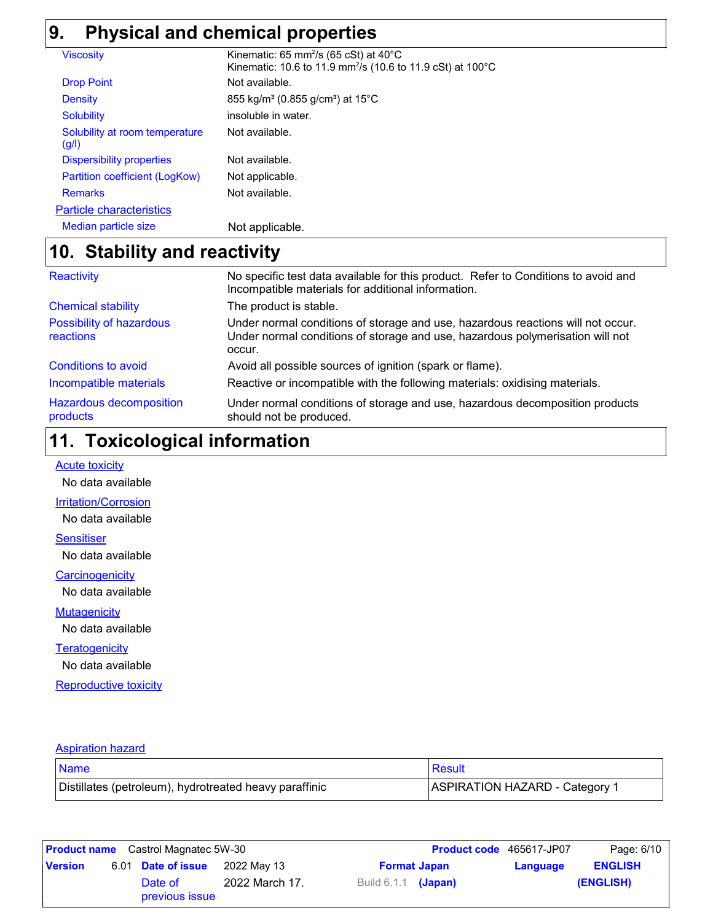# **9. Physical and chemical properties**

| <b>Viscosity</b>                        | Kinematic: 65 mm <sup>2</sup> /s (65 cSt) at $40^{\circ}$ C<br>Kinematic: 10.6 to 11.9 mm <sup>2</sup> /s (10.6 to 11.9 cSt) at 100°C |
|-----------------------------------------|---------------------------------------------------------------------------------------------------------------------------------------|
|                                         |                                                                                                                                       |
| <b>Drop Point</b>                       | Not available.                                                                                                                        |
| <b>Density</b>                          | 855 kg/m <sup>3</sup> (0.855 g/cm <sup>3</sup> ) at 15 <sup>°</sup> C                                                                 |
| <b>Solubility</b>                       | insoluble in water.                                                                                                                   |
| Solubility at room temperature<br>(g/l) | Not available.                                                                                                                        |
| <b>Dispersibility properties</b>        | Not available.                                                                                                                        |
| Partition coefficient (LogKow)          | Not applicable.                                                                                                                       |
| <b>Remarks</b>                          | Not available.                                                                                                                        |
| <b>Particle characteristics</b>         |                                                                                                                                       |
| Median particle size                    | Not applicable.                                                                                                                       |

# **Stability and reactivity 10.**

| Reactivity                                 | No specific test data available for this product. Refer to Conditions to avoid and<br>Incompatible materials for additional information.                                   |
|--------------------------------------------|----------------------------------------------------------------------------------------------------------------------------------------------------------------------------|
| <b>Chemical stability</b>                  | The product is stable.                                                                                                                                                     |
| Possibility of hazardous<br>reactions      | Under normal conditions of storage and use, hazardous reactions will not occur.<br>Under normal conditions of storage and use, hazardous polymerisation will not<br>occur. |
| <b>Conditions to avoid</b>                 | Avoid all possible sources of ignition (spark or flame).                                                                                                                   |
| Incompatible materials                     | Reactive or incompatible with the following materials: oxidising materials.                                                                                                |
| <b>Hazardous decomposition</b><br>products | Under normal conditions of storage and use, hazardous decomposition products<br>should not be produced.                                                                    |

# **Toxicological information 11.**

**Acute toxicity** 

No data available

#### **Irritation/Corrosion**

No data available

**Sensitiser** 

No data available

**Carcinogenicity** 

No data available

#### **Mutagenicity**

No data available

#### **Teratogenicity**

No data available

Reproductive toxicity

#### Aspiration hazard

| Name                                                   | Result                         |
|--------------------------------------------------------|--------------------------------|
| Distillates (petroleum), hydrotreated heavy paraffinic | ASPIRATION HAZARD - Category 1 |

|                | <b>Product name</b> Castrol Magnatec 5W-30 |                |                       |  | <b>Product code</b> 465617-JP07 | Page: 6/10     |
|----------------|--------------------------------------------|----------------|-----------------------|--|---------------------------------|----------------|
| <b>Version</b> | 6.01 Date of issue                         | 2022 May 13    | <b>Format Japan</b>   |  | Language                        | <b>ENGLISH</b> |
|                | Date of<br>previous issue                  | 2022 March 17. | Build $6.1.1$ (Japan) |  |                                 | (ENGLISH)      |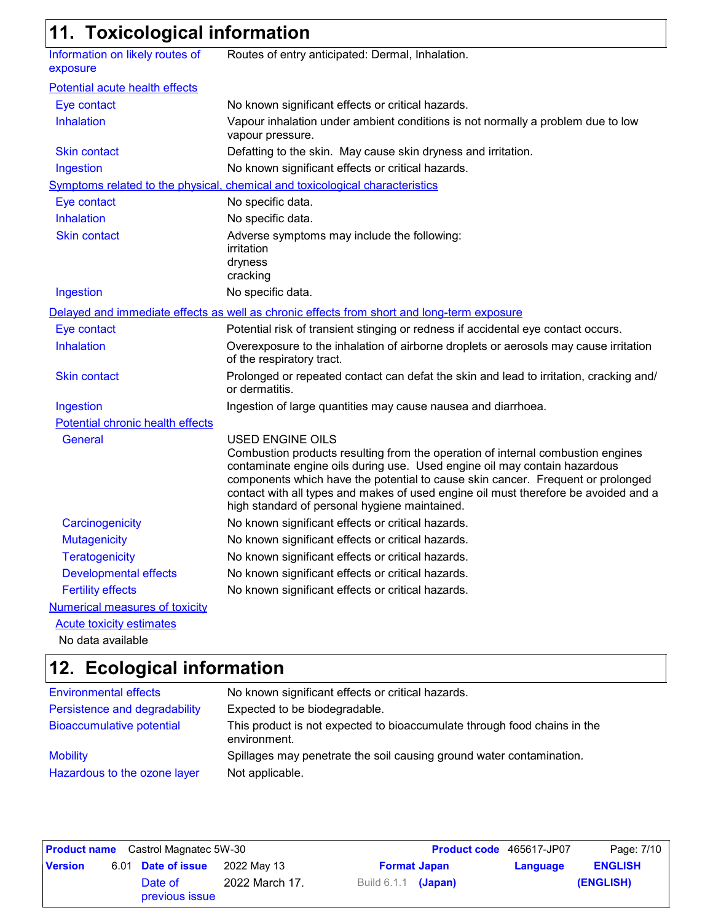# **11. Toxicological information**

| Information on likely routes of<br>exposure | Routes of entry anticipated: Dermal, Inhalation.                                                                                                                                                                                                                                                                                                                                                                   |
|---------------------------------------------|--------------------------------------------------------------------------------------------------------------------------------------------------------------------------------------------------------------------------------------------------------------------------------------------------------------------------------------------------------------------------------------------------------------------|
| Potential acute health effects              |                                                                                                                                                                                                                                                                                                                                                                                                                    |
| Eye contact                                 | No known significant effects or critical hazards.                                                                                                                                                                                                                                                                                                                                                                  |
| <b>Inhalation</b>                           | Vapour inhalation under ambient conditions is not normally a problem due to low<br>vapour pressure.                                                                                                                                                                                                                                                                                                                |
| <b>Skin contact</b>                         | Defatting to the skin. May cause skin dryness and irritation.                                                                                                                                                                                                                                                                                                                                                      |
| Ingestion                                   | No known significant effects or critical hazards.                                                                                                                                                                                                                                                                                                                                                                  |
|                                             | Symptoms related to the physical, chemical and toxicological characteristics                                                                                                                                                                                                                                                                                                                                       |
| Eye contact                                 | No specific data.                                                                                                                                                                                                                                                                                                                                                                                                  |
| <b>Inhalation</b>                           | No specific data.                                                                                                                                                                                                                                                                                                                                                                                                  |
| <b>Skin contact</b>                         | Adverse symptoms may include the following:<br>irritation<br>dryness<br>cracking                                                                                                                                                                                                                                                                                                                                   |
| Ingestion                                   | No specific data.                                                                                                                                                                                                                                                                                                                                                                                                  |
|                                             | Delayed and immediate effects as well as chronic effects from short and long-term exposure                                                                                                                                                                                                                                                                                                                         |
| Eye contact                                 | Potential risk of transient stinging or redness if accidental eye contact occurs.                                                                                                                                                                                                                                                                                                                                  |
| Inhalation                                  | Overexposure to the inhalation of airborne droplets or aerosols may cause irritation<br>of the respiratory tract.                                                                                                                                                                                                                                                                                                  |
| Skin contact                                | Prolonged or repeated contact can defat the skin and lead to irritation, cracking and/<br>or dermatitis.                                                                                                                                                                                                                                                                                                           |
| Ingestion                                   | Ingestion of large quantities may cause nausea and diarrhoea.                                                                                                                                                                                                                                                                                                                                                      |
| Potential chronic health effects            |                                                                                                                                                                                                                                                                                                                                                                                                                    |
| General                                     | <b>USED ENGINE OILS</b><br>Combustion products resulting from the operation of internal combustion engines<br>contaminate engine oils during use. Used engine oil may contain hazardous<br>components which have the potential to cause skin cancer. Frequent or prolonged<br>contact with all types and makes of used engine oil must therefore be avoided and a<br>high standard of personal hygiene maintained. |
| Carcinogenicity                             | No known significant effects or critical hazards.                                                                                                                                                                                                                                                                                                                                                                  |
| <b>Mutagenicity</b>                         | No known significant effects or critical hazards.                                                                                                                                                                                                                                                                                                                                                                  |
| <b>Teratogenicity</b>                       | No known significant effects or critical hazards.                                                                                                                                                                                                                                                                                                                                                                  |
| <b>Developmental effects</b>                | No known significant effects or critical hazards.                                                                                                                                                                                                                                                                                                                                                                  |
| <b>Fertility effects</b>                    | No known significant effects or critical hazards.                                                                                                                                                                                                                                                                                                                                                                  |
| <b>Numerical measures of toxicity</b>       |                                                                                                                                                                                                                                                                                                                                                                                                                    |
| <b>Acute toxicity estimates</b>             |                                                                                                                                                                                                                                                                                                                                                                                                                    |
| No data available                           |                                                                                                                                                                                                                                                                                                                                                                                                                    |

### **Ecological information 12.**

| <b>Environmental effects</b>     | No known significant effects or critical hazards.                                        |
|----------------------------------|------------------------------------------------------------------------------------------|
| Persistence and degradability    | Expected to be biodegradable.                                                            |
| <b>Bioaccumulative potential</b> | This product is not expected to bioaccumulate through food chains in the<br>environment. |
| <b>Mobility</b>                  | Spillages may penetrate the soil causing ground water contamination.                     |
| Hazardous to the ozone layer     | Not applicable.                                                                          |

|                | <b>Product name</b> Castrol Magnatec 5W-30 |                |                            |                     | <b>Product code</b> 465617-JP07 | Page: 7/10     |
|----------------|--------------------------------------------|----------------|----------------------------|---------------------|---------------------------------|----------------|
| <b>Version</b> | 6.01 Date of issue                         | 2022 May 13    |                            | <b>Format Japan</b> | Language                        | <b>ENGLISH</b> |
|                | Date of<br>previous issue                  | 2022 March 17. | Build 6.1.1 <b>(Japan)</b> |                     |                                 | (ENGLISH)      |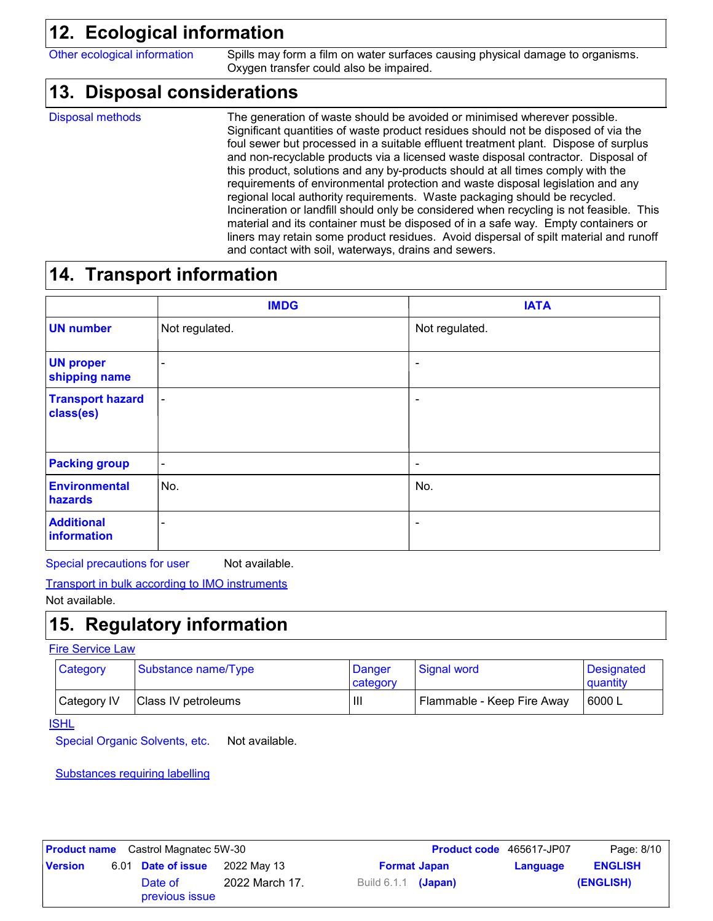# **12. Ecological information**

Other ecological information Spills may form a film on water surfaces causing physical damage to organisms. Oxygen transfer could also be impaired.

### **Disposal considerations 13.**

Disposal methods

The generation of waste should be avoided or minimised wherever possible. Significant quantities of waste product residues should not be disposed of via the foul sewer but processed in a suitable effluent treatment plant. Dispose of surplus and non-recyclable products via a licensed waste disposal contractor. Disposal of this product, solutions and any by-products should at all times comply with the requirements of environmental protection and waste disposal legislation and any regional local authority requirements. Waste packaging should be recycled. Incineration or landfill should only be considered when recycling is not feasible. This material and its container must be disposed of in a safe way. Empty containers or liners may retain some product residues. Avoid dispersal of spilt material and runoff and contact with soil, waterways, drains and sewers.

# **14. Transport information**

|                                      | <b>IMDG</b>    | <b>IATA</b>    |
|--------------------------------------|----------------|----------------|
| <b>UN number</b>                     | Not regulated. | Not regulated. |
| <b>UN proper</b><br>shipping name    | $\equiv$       |                |
| <b>Transport hazard</b><br>class(es) | $\blacksquare$ |                |
| <b>Packing group</b>                 | ۰              | -              |
| <b>Environmental</b><br>hazards      | No.            | No.            |
| <b>Additional</b><br>information     |                |                |

Special precautions for user Not available.

Transport in bulk according to IMO instruments

Not available.

# **15. Regulatory information**

Fire Service Law

| Category    | Substance name/Type | Danger<br>category                    | Signal word                | <b>Designated</b><br>quantity |
|-------------|---------------------|---------------------------------------|----------------------------|-------------------------------|
| Category IV | Class IV petroleums | $\begin{array}{c} \hline \end{array}$ | Flammable - Keep Fire Away | 6000 L                        |

**ISHL** 

Special Organic Solvents, etc. Not available.

Substances requiring labelling

| <b>Product name</b> Castrol Magnatec 5W-30 |  |                           |                | <b>Product code</b> 465617-JP07 | Page: 8/10          |          |                |
|--------------------------------------------|--|---------------------------|----------------|---------------------------------|---------------------|----------|----------------|
| <b>Version</b>                             |  | 6.01 Date of issue        | 2022 May 13    |                                 | <b>Format Japan</b> | Language | <b>ENGLISH</b> |
|                                            |  | Date of<br>previous issue | 2022 March 17. | Build $6.1.1$ (Japan)           |                     |          | (ENGLISH)      |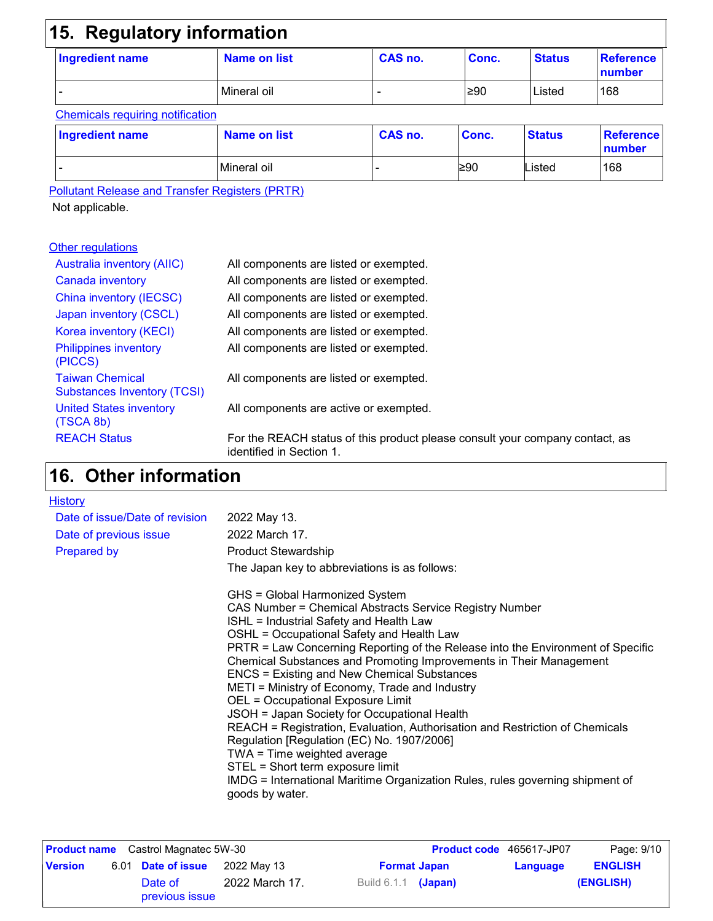# **15. Regulatory information**

| <b>Ingredient name</b> | Name on list | CAS no. | Conc. | <b>Status</b> | ∣ Reference<br>number |
|------------------------|--------------|---------|-------|---------------|-----------------------|
|                        | Mineral oil  |         | ≥90   | Listed        | 168                   |

### Chemicals requiring notification

| <b>Ingredient name</b> | Name on list | CAS no. | Conc. | <b>Status</b> | <b>Reference</b><br>number |
|------------------------|--------------|---------|-------|---------------|----------------------------|
| -                      | Mineral oil  |         | ≥90   | ∟isted        | 168                        |

Pollutant Release and Transfer Registers (PRTR)

Not applicable.

### **Other regulations**

| <b>Australia inventory (AIIC)</b>                            | All components are listed or exempted.                                                                   |
|--------------------------------------------------------------|----------------------------------------------------------------------------------------------------------|
| Canada inventory                                             | All components are listed or exempted.                                                                   |
| China inventory (IECSC)                                      | All components are listed or exempted.                                                                   |
| Japan inventory (CSCL)                                       | All components are listed or exempted.                                                                   |
| Korea inventory (KECI)                                       | All components are listed or exempted.                                                                   |
| <b>Philippines inventory</b><br>(PICCS)                      | All components are listed or exempted.                                                                   |
| <b>Taiwan Chemical</b><br><b>Substances Inventory (TCSI)</b> | All components are listed or exempted.                                                                   |
| <b>United States inventory</b><br>(TSCA 8b)                  | All components are active or exempted.                                                                   |
| <b>REACH Status</b>                                          | For the REACH status of this product please consult your company contact, as<br>identified in Section 1. |

### **Other information 16.**

| <b>History</b>                 |                                                                                                                                                                                                                                                                                                                                                                                                                                                                                                                                                                                                                                                                                                                                                                                                                                              |
|--------------------------------|----------------------------------------------------------------------------------------------------------------------------------------------------------------------------------------------------------------------------------------------------------------------------------------------------------------------------------------------------------------------------------------------------------------------------------------------------------------------------------------------------------------------------------------------------------------------------------------------------------------------------------------------------------------------------------------------------------------------------------------------------------------------------------------------------------------------------------------------|
| Date of issue/Date of revision | 2022 May 13.                                                                                                                                                                                                                                                                                                                                                                                                                                                                                                                                                                                                                                                                                                                                                                                                                                 |
| Date of previous issue         | 2022 March 17.                                                                                                                                                                                                                                                                                                                                                                                                                                                                                                                                                                                                                                                                                                                                                                                                                               |
| <b>Prepared by</b>             | <b>Product Stewardship</b>                                                                                                                                                                                                                                                                                                                                                                                                                                                                                                                                                                                                                                                                                                                                                                                                                   |
|                                | The Japan key to abbreviations is as follows:                                                                                                                                                                                                                                                                                                                                                                                                                                                                                                                                                                                                                                                                                                                                                                                                |
|                                | GHS = Global Harmonized System<br>CAS Number = Chemical Abstracts Service Registry Number<br>ISHL = Industrial Safety and Health Law<br>OSHL = Occupational Safety and Health Law<br>PRTR = Law Concerning Reporting of the Release into the Environment of Specific<br>Chemical Substances and Promoting Improvements in Their Management<br><b>ENCS = Existing and New Chemical Substances</b><br>METI = Ministry of Economy, Trade and Industry<br>OEL = Occupational Exposure Limit<br>JSOH = Japan Society for Occupational Health<br>REACH = Registration, Evaluation, Authorisation and Restriction of Chemicals<br>Regulation [Regulation (EC) No. 1907/2006]<br>TWA = Time weighted average<br>STEL = Short term exposure limit<br>IMDG = International Maritime Organization Rules, rules governing shipment of<br>goods by water. |

| <b>Product name</b> Castrol Magnatec 5W-30 |  |                           | <b>Product code</b> 465617-JP07 | Page: 9/10                 |          |                |
|--------------------------------------------|--|---------------------------|---------------------------------|----------------------------|----------|----------------|
| <b>Version</b>                             |  | 6.01 Date of issue        | 2022 Mav 13                     | <b>Format Japan</b>        | Language | <b>ENGLISH</b> |
|                                            |  | Date of<br>previous issue | 2022 March 17.                  | Build 6.1.1 <b>(Japan)</b> |          | (ENGLISH)      |